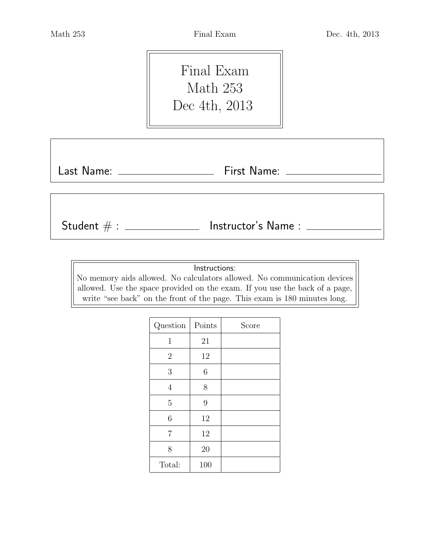Final Exam Math 253 Dec 4th, 2013

Last Name: First Name:

 ${\sf Student} \; \# : \; \underline{\hspace{1.5cm}} \hspace{1.5cm} {\sf Instrument} \; or's \; {\sf Name}: \; \underline{\hspace{1.5cm}}$ 

Instructions:

No memory aids allowed. No calculators allowed. No communication devices allowed. Use the space provided on the exam. If you use the back of a page, write "see back" on the front of the page. This exam is 180 minutes long.

| Question       | Points | Score |
|----------------|--------|-------|
| $\mathbf{1}$   | 21     |       |
| $\overline{2}$ | 12     |       |
| 3              | 6      |       |
| $\overline{4}$ | 8      |       |
| $\overline{5}$ | 9      |       |
| 6              | 12     |       |
| $\overline{7}$ | 12     |       |
| 8              | 20     |       |
| Total:         | 100    |       |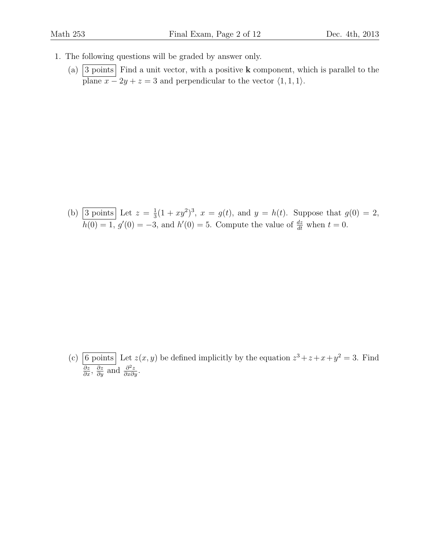- 1. The following questions will be graded by answer only.
	- (a)  $\boxed{3 \text{ points}}$  Find a unit vector, with a positive **k** component, which is parallel to the plane  $x - 2y + z = 3$  and perpendicular to the vector  $\langle 1, 1, 1 \rangle$ .

(b) 3 points Let  $z=\frac{1}{3}$  $\frac{1}{3}(1+xy^2)^3$ ,  $x = g(t)$ , and  $y = h(t)$ . Suppose that  $g(0) = 2$ ,  $h(0) = 1, g'(0) = -3$ , and  $h'(0) = 5$ . Compute the value of  $\frac{dz}{dt}$  when  $t = 0$ .

(c) 6 points Let  $z(x, y)$  be defined implicitly by the equation  $z^3 + z + x + y^2 = 3$ . Find  $\frac{\partial z}{\partial x}, \frac{\partial z}{\partial y}$  and  $\frac{\partial^2 z}{\partial x \partial y}$ .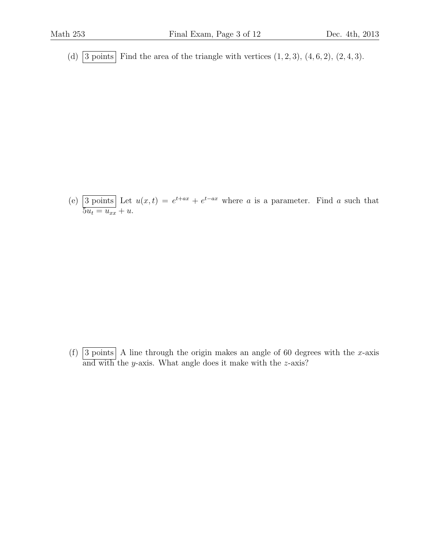(d)  $\overline{\left|3 \text{ points}\right|}$  Find the area of the triangle with vertices  $(1, 2, 3)$ ,  $(4, 6, 2)$ ,  $(2, 4, 3)$ .

(e) 3 points Let  $u(x,t) = e^{t+ax} + e^{t-ax}$  where a is a parameter. Find a such that  $\overline{5u_t} = u_{xx} + u.$ 

(f)  $\boxed{3 \text{ points}}$  A line through the origin makes an angle of 60 degrees with the x-axis and with the y-axis. What angle does it make with the  $z$ -axis?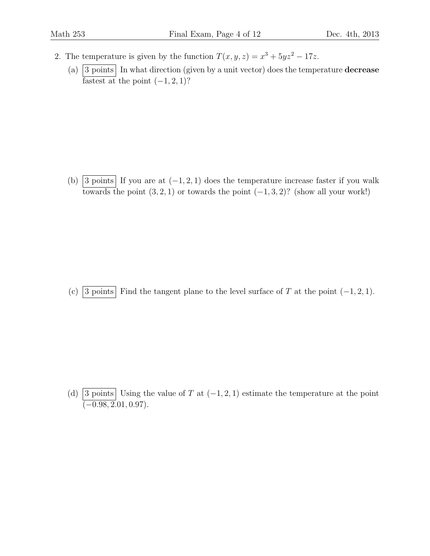- 2. The temperature is given by the function  $T(x, y, z) = x^3 + 5yz^2 17z$ .
	- (a)  $\boxed{3 \text{ points}}$  In what direction (given by a unit vector) does the temperature **decrease** fastest at the point  $(-1, 2, 1)$ ?

(b) 3 points If you are at  $(-1, 2, 1)$  does the temperature increase faster if you walk towards the point  $(3, 2, 1)$  or towards the point  $(-1, 3, 2)$ ? (show all your work!)

(c) 3 points Find the tangent plane to the level surface of T at the point  $(-1, 2, 1)$ .

(d)  $\boxed{3 \text{ points}}$  Using the value of T at  $(-1, 2, 1)$  estimate the temperature at the point  $\left(-0.98, 2.01, 0.97\right)$ .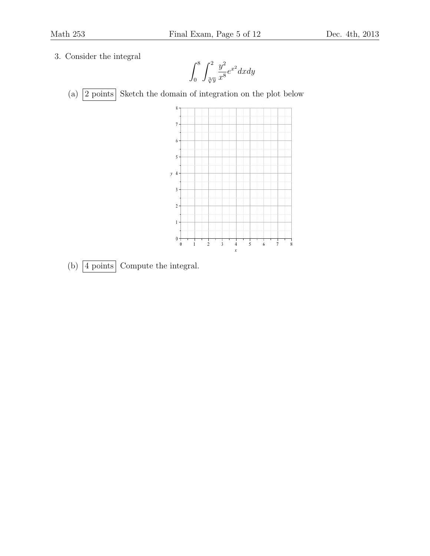3. Consider the integral

 $\int^8$ 0  $\int_0^2$  $\sqrt[3]{y}$  $y^2$  $\frac{y}{x^8}e^{x^2}dxdy$ 

(a)  $\boxed{2 \text{ points}}$  Sketch the domain of integration on the plot below



(b)  $\boxed{4 \text{ points}}$  Compute the integral.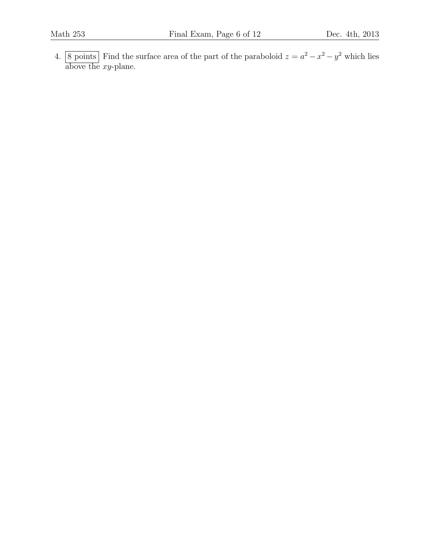4. 8 points Find the surface area of the part of the paraboloid  $z = a^2 - x^2 - y^2$  which lies above the  $xy$ -plane.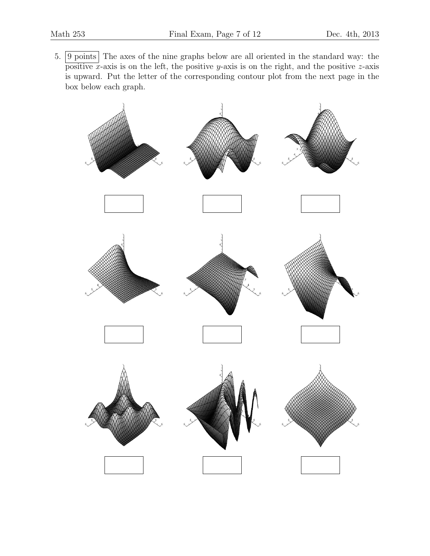5. **9 points** The axes of the nine graphs below are all oriented in the standard way: the positive x-axis is on the left, the positive y-axis is on the right, and the positive z-axis is upward. Put the letter of the corresponding contour plot from the next page in the box below each graph.

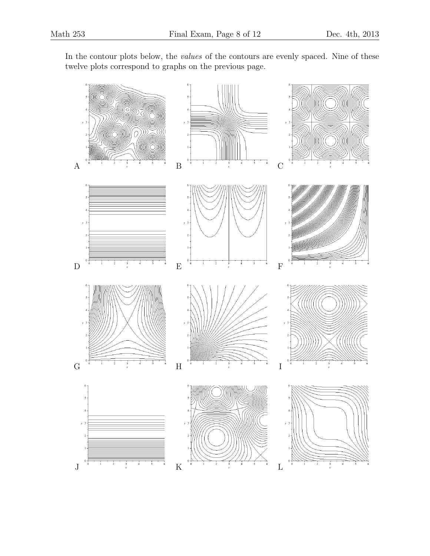In the contour plots below, the values of the contours are evenly spaced. Nine of these twelve plots correspond to graphs on the previous page.

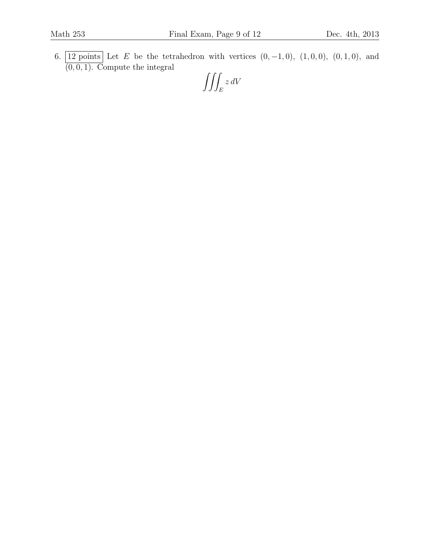6. 12 points Let E be the tetrahedron with vertices  $(0, -1, 0)$ ,  $(1, 0, 0)$ ,  $(0, 1, 0)$ , and  $(0, 0, 1)$ . Compute the integral

$$
\iiint_E z\,dV
$$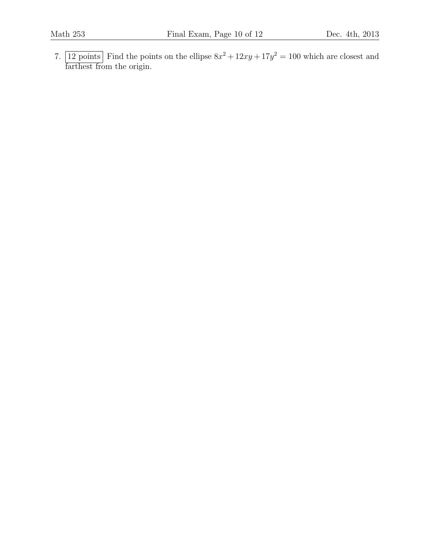7. 12 points Find the points on the ellipse  $8x^2 + 12xy + 17y^2 = 100$  which are closest and farthest from the origin.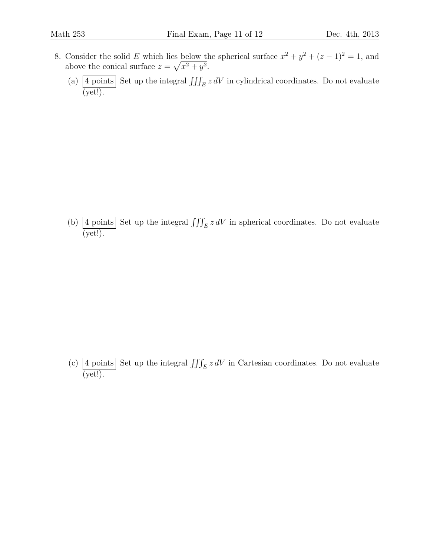- 8. Consider the solid E which lies below the spherical surface  $x^2 + y^2 + (z 1)^2 = 1$ , and above the conical surface  $z = \sqrt{x^2 + y^2}$ .
	- (a)  $\boxed{4 \text{ points}}$  Set up the integral  $\iiint_E z dV$  in cylindrical coordinates. Do not evaluate (yet!).

(b)  $\boxed{4 \text{ points}}$  Set up the integral  $\iiint_E z dV$  in spherical coordinates. Do not evaluate  $\overline{(\text{yet}!)}.$ 

(c)  $\boxed{4 \text{ points}}$  Set up the integral  $\iiint_E z dV$  in Cartesian coordinates. Do not evaluate  $\overline{(\text{yet!})}.$